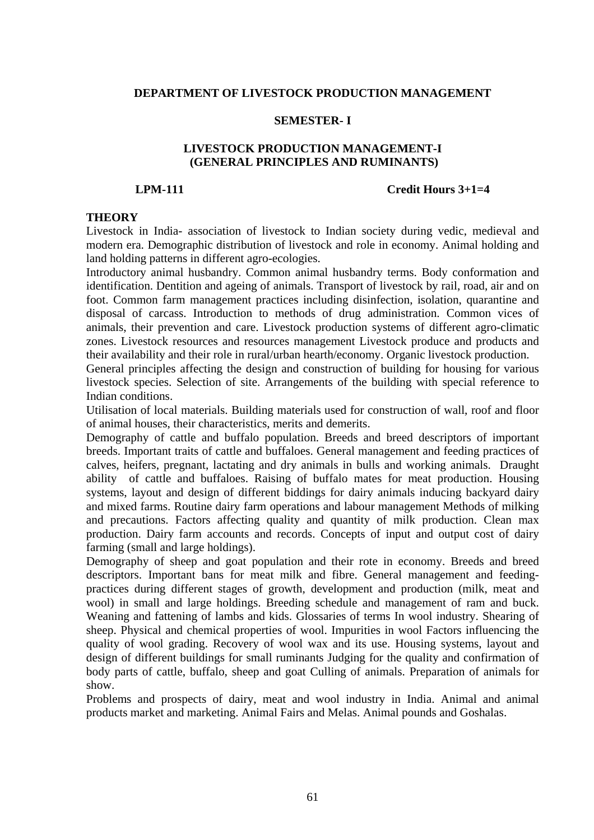### **DEPARTMENT OF LIVESTOCK PRODUCTION MANAGEMENT**

## **SEMESTER- I**

## **LIVESTOCK PRODUCTION MANAGEMENT-I (GENERAL PRINCIPLES AND RUMINANTS)**

#### **LPM-111 Credit Hours 3+1=4**

## **THEORY**

Livestock in India- association of livestock to Indian society during vedic, medieval and modern era. Demographic distribution of livestock and role in economy. Animal holding and land holding patterns in different agro-ecologies.

Introductory animal husbandry. Common animal husbandry terms. Body conformation and identification. Dentition and ageing of animals. Transport of livestock by rail, road, air and on foot. Common farm management practices including disinfection, isolation, quarantine and disposal of carcass. Introduction to methods of drug administration. Common vices of animals, their prevention and care. Livestock production systems of different agro-climatic zones. Livestock resources and resources management Livestock produce and products and their availability and their role in rural/urban hearth/economy. Organic livestock production.

General principles affecting the design and construction of building for housing for various livestock species. Selection of site. Arrangements of the building with special reference to Indian conditions.

Utilisation of local materials. Building materials used for construction of wall, roof and floor of animal houses, their characteristics, merits and demerits.

Demography of cattle and buffalo population. Breeds and breed descriptors of important breeds. Important traits of cattle and buffaloes. General management and feeding practices of calves, heifers, pregnant, lactating and dry animals in bulls and working animals. Draught ability of cattle and buffaloes. Raising of buffalo mates for meat production. Housing systems, layout and design of different biddings for dairy animals inducing backyard dairy and mixed farms. Routine dairy farm operations and labour management Methods of milking and precautions. Factors affecting quality and quantity of milk production. Clean max production. Dairy farm accounts and records. Concepts of input and output cost of dairy farming (small and large holdings).

Demography of sheep and goat population and their rote in economy. Breeds and breed descriptors. Important bans for meat milk and fibre. General management and feedingpractices during different stages of growth, development and production (milk, meat and wool) in small and large holdings. Breeding schedule and management of ram and buck. Weaning and fattening of lambs and kids. Glossaries of terms In wool industry. Shearing of sheep. Physical and chemical properties of wool. Impurities in wool Factors influencing the quality of wool grading. Recovery of wool wax and its use. Housing systems, layout and design of different buildings for small ruminants Judging for the quality and confirmation of body parts of cattle, buffalo, sheep and goat Culling of animals. Preparation of animals for show.

Problems and prospects of dairy, meat and wool industry in India. Animal and animal products market and marketing. Animal Fairs and Melas. Animal pounds and Goshalas.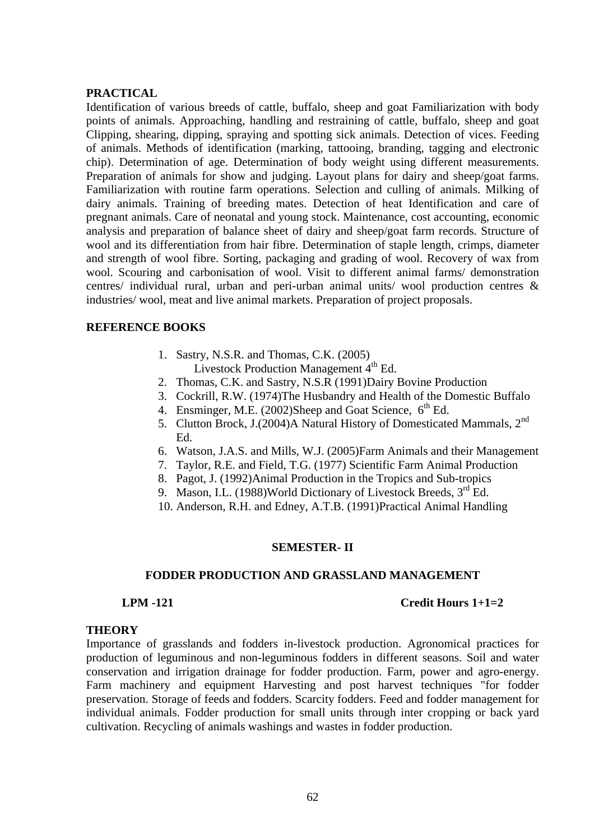# **PRACTICAL**

Identification of various breeds of cattle, buffalo, sheep and goat Familiarization with body points of animals. Approaching, handling and restraining of cattle, buffalo, sheep and goat Clipping, shearing, dipping, spraying and spotting sick animals. Detection of vices. Feeding of animals. Methods of identification (marking, tattooing, branding, tagging and electronic chip). Determination of age. Determination of body weight using different measurements. Preparation of animals for show and judging. Layout plans for dairy and sheep/goat farms. Familiarization with routine farm operations. Selection and culling of animals. Milking of dairy animals. Training of breeding mates. Detection of heat Identification and care of pregnant animals. Care of neonatal and young stock. Maintenance, cost accounting, economic analysis and preparation of balance sheet of dairy and sheep/goat farm records. Structure of wool and its differentiation from hair fibre. Determination of staple length, crimps, diameter and strength of wool fibre. Sorting, packaging and grading of wool. Recovery of wax from wool. Scouring and carbonisation of wool. Visit to different animal farms/ demonstration centres/ individual rural, urban and peri-urban animal units/ wool production centres & industries/ wool, meat and live animal markets. Preparation of project proposals.

# **REFERENCE BOOKS**

- 1. Sastry, N.S.R. and Thomas, C.K. (2005) Livestock Production Management  $4<sup>th</sup>$  Ed.
- 2. Thomas, C.K. and Sastry, N.S.R (1991)Dairy Bovine Production
- 3. Cockrill, R.W. (1974)The Husbandry and Health of the Domestic Buffalo
- 4. Ensminger, M.E.  $(2002)$ Sheep and Goat Science,  $6<sup>th</sup>$  Ed.
- 5. Clutton Brock, J.(2004)A Natural History of Domesticated Mammals, 2<sup>nd</sup> Ed.
- 6. Watson, J.A.S. and Mills, W.J. (2005)Farm Animals and their Management
- 7. Taylor, R.E. and Field, T.G. (1977) Scientific Farm Animal Production
- 8. Pagot, J. (1992)Animal Production in the Tropics and Sub-tropics
- 9. Mason, I.L. (1988) World Dictionary of Livestock Breeds, 3rd Ed.
- 10. Anderson, R.H. and Edney, A.T.B. (1991)Practical Animal Handling

# **SEMESTER- II**

# **FODDER PRODUCTION AND GRASSLAND MANAGEMENT**

## **LPM -121 Credit Hours 1+1=2**

# **THEORY**

Importance of grasslands and fodders in-livestock production. Agronomical practices for production of leguminous and non-leguminous fodders in different seasons. Soil and water conservation and irrigation drainage for fodder production. Farm, power and agro-energy. Farm machinery and equipment Harvesting and post harvest techniques "for fodder preservation. Storage of feeds and fodders. Scarcity fodders. Feed and fodder management for individual animals. Fodder production for small units through inter cropping or back yard cultivation. Recycling of animals washings and wastes in fodder production.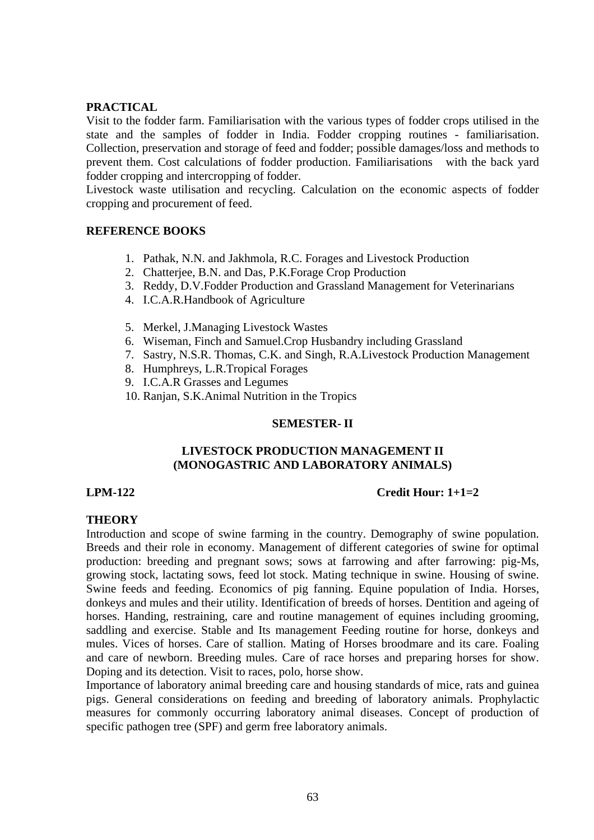# **PRACTICAL**

Visit to the fodder farm. Familiarisation with the various types of fodder crops utilised in the state and the samples of fodder in India. Fodder cropping routines - familiarisation. Collection, preservation and storage of feed and fodder; possible damages/loss and methods to prevent them. Cost calculations of fodder production. Familiarisations with the back yard fodder cropping and intercropping of fodder.

Livestock waste utilisation and recycling. Calculation on the economic aspects of fodder cropping and procurement of feed.

# **REFERENCE BOOKS**

- 1. Pathak, N.N. and Jakhmola, R.C. Forages and Livestock Production
- 2. Chatterjee, B.N. and Das, P.K.Forage Crop Production
- 3. Reddy, D.V.Fodder Production and Grassland Management for Veterinarians
- 4. I.C.A.R.Handbook of Agriculture
- 5. Merkel, J.Managing Livestock Wastes
- 6. Wiseman, Finch and Samuel.Crop Husbandry including Grassland
- 7. Sastry, N.S.R. Thomas, C.K. and Singh, R.A.Livestock Production Management
- 8. Humphreys, L.R.Tropical Forages
- 9. I.C.A.R Grasses and Legumes
- 10. Ranjan, S.K.Animal Nutrition in the Tropics

## **SEMESTER- II**

## **LIVESTOCK PRODUCTION MANAGEMENT II (MONOGASTRIC AND LABORATORY ANIMALS)**

## **LPM-122 Credit Hour: 1+1=2**

## **THEORY**

Introduction and scope of swine farming in the country. Demography of swine population. Breeds and their role in economy. Management of different categories of swine for optimal production: breeding and pregnant sows; sows at farrowing and after farrowing: pig-Ms, growing stock, lactating sows, feed lot stock. Mating technique in swine. Housing of swine. Swine feeds and feeding. Economics of pig fanning. Equine population of India. Horses, donkeys and mules and their utility. Identification of breeds of horses. Dentition and ageing of horses. Handing, restraining, care and routine management of equines including grooming, saddling and exercise. Stable and Its management Feeding routine for horse, donkeys and mules. Vices of horses. Care of stallion. Mating of Horses broodmare and its care. Foaling and care of newborn. Breeding mules. Care of race horses and preparing horses for show. Doping and its detection. Visit to races, polo, horse show.

Importance of laboratory animal breeding care and housing standards of mice, rats and guinea pigs. General considerations on feeding and breeding of laboratory animals. Prophylactic measures for commonly occurring laboratory animal diseases. Concept of production of specific pathogen tree (SPF) and germ free laboratory animals.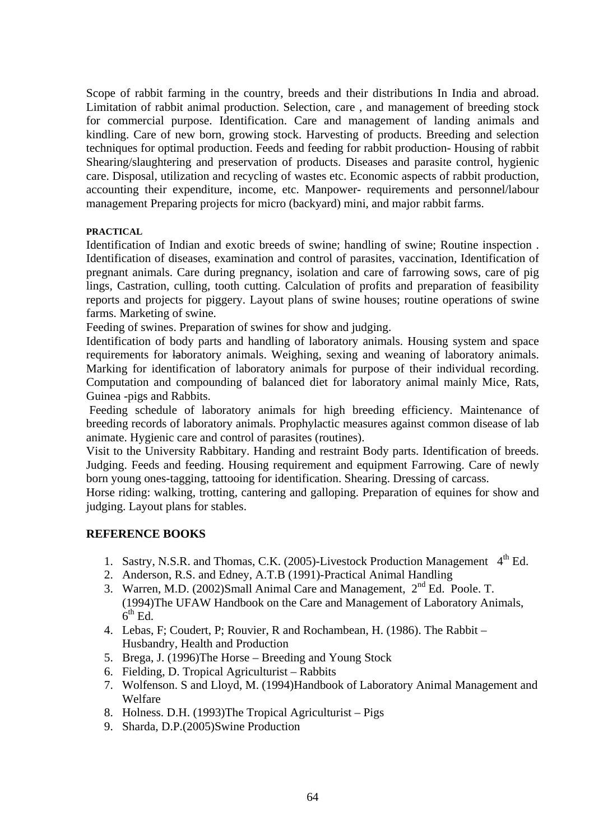Scope of rabbit farming in the country, breeds and their distributions In India and abroad. Limitation of rabbit animal production. Selection, care , and management of breeding stock for commercial purpose. Identification. Care and management of landing animals and kindling. Care of new born, growing stock. Harvesting of products. Breeding and selection techniques for optimal production. Feeds and feeding for rabbit production- Housing of rabbit Shearing/slaughtering and preservation of products. Diseases and parasite control, hygienic care. Disposal, utilization and recycling of wastes etc. Economic aspects of rabbit production, accounting their expenditure, income, etc. Manpower- requirements and personnel/labour management Preparing projects for micro (backyard) mini, and major rabbit farms.

### **PRACTICAL**

Identification of Indian and exotic breeds of swine; handling of swine; Routine inspection . Identification of diseases, examination and control of parasites, vaccination, Identification of pregnant animals. Care during pregnancy, isolation and care of farrowing sows, care of pig lings, Castration, culling, tooth cutting. Calculation of profits and preparation of feasibility reports and projects for piggery. Layout plans of swine houses; routine operations of swine farms. Marketing of swine.

Feeding of swines. Preparation of swines for show and judging.

Identification of body parts and handling of laboratory animals. Housing system and space requirements for laboratory animals. Weighing, sexing and weaning of laboratory animals. Marking for identification of laboratory animals for purpose of their individual recording. Computation and compounding of balanced diet for laboratory animal mainly Mice, Rats, Guinea -pigs and Rabbits.

Feeding schedule of laboratory animals for high breeding efficiency. Maintenance of breeding records of laboratory animals. Prophylactic measures against common disease of lab animate. Hygienic care and control of parasites (routines).

Visit to the University Rabbitary. Handing and restraint Body parts. Identification of breeds. Judging. Feeds and feeding. Housing requirement and equipment Farrowing. Care of newly born young ones-tagging, tattooing for identification. Shearing. Dressing of carcass.

Horse riding: walking, trotting, cantering and galloping. Preparation of equines for show and judging. Layout plans for stables.

## **REFERENCE BOOKS**

- 1. Sastry, N.S.R. and Thomas, C.K. (2005)-Livestock Production Management  $4<sup>th</sup>$  Ed.
- 2. Anderson, R.S. and Edney, A.T.B (1991)-Practical Animal Handling
- 3. Warren, M.D. (2002)Small Animal Care and Management, 2nd Ed. Poole. T. (1994)The UFAW Handbook on the Care and Management of Laboratory Animals,  $6^{th}$  Ed.
- 4. Lebas, F; Coudert, P; Rouvier, R and Rochambean, H. (1986). The Rabbit Husbandry, Health and Production
- 5. Brega, J. (1996)The Horse Breeding and Young Stock
- 6. Fielding, D. Tropical Agriculturist Rabbits
- 7. Wolfenson. S and Lloyd, M. (1994)Handbook of Laboratory Animal Management and Welfare
- 8. Holness. D.H. (1993)The Tropical Agriculturist Pigs
- 9. Sharda, D.P.(2005)Swine Production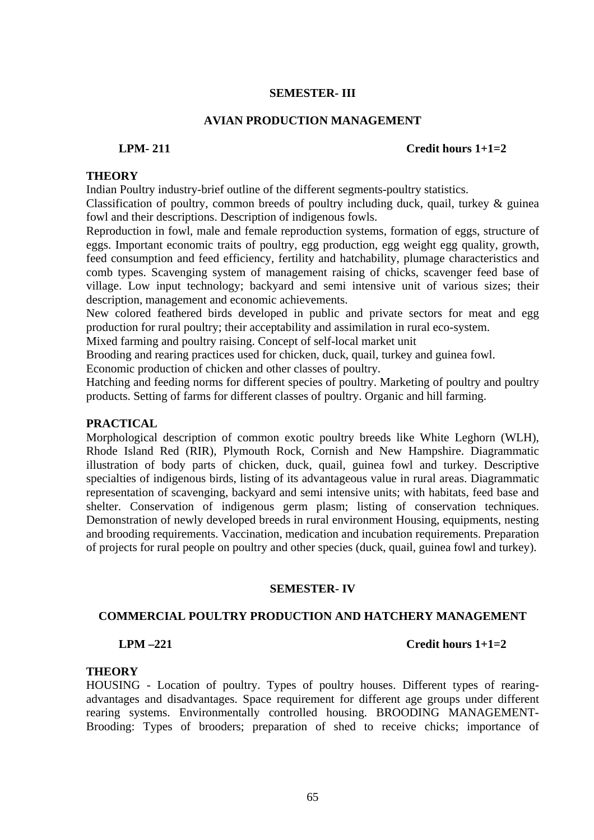### **SEMESTER- III**

#### **AVIAN PRODUCTION MANAGEMENT**

#### **LPM- 211 Credit hours 1+1=2**

#### **THEORY**

Indian Poultry industry-brief outline of the different segments-poultry statistics.

Classification of poultry, common breeds of poultry including duck, quail, turkey & guinea fowl and their descriptions. Description of indigenous fowls.

Reproduction in fowl, male and female reproduction systems, formation of eggs, structure of eggs. Important economic traits of poultry, egg production, egg weight egg quality, growth, feed consumption and feed efficiency, fertility and hatchability, plumage characteristics and comb types. Scavenging system of management raising of chicks, scavenger feed base of village. Low input technology; backyard and semi intensive unit of various sizes; their description, management and economic achievements.

New colored feathered birds developed in public and private sectors for meat and egg production for rural poultry; their acceptability and assimilation in rural eco-system.

Mixed farming and poultry raising. Concept of self-local market unit

Brooding and rearing practices used for chicken, duck, quail, turkey and guinea fowl.

Economic production of chicken and other classes of poultry.

Hatching and feeding norms for different species of poultry. Marketing of poultry and poultry products. Setting of farms for different classes of poultry. Organic and hill farming.

## **PRACTICAL**

Morphological description of common exotic poultry breeds like White Leghorn (WLH), Rhode Island Red (RIR), Plymouth Rock, Cornish and New Hampshire. Diagrammatic illustration of body parts of chicken, duck, quail, guinea fowl and turkey. Descriptive specialties of indigenous birds, listing of its advantageous value in rural areas. Diagrammatic representation of scavenging, backyard and semi intensive units; with habitats, feed base and shelter. Conservation of indigenous germ plasm; listing of conservation techniques. Demonstration of newly developed breeds in rural environment Housing, equipments, nesting and brooding requirements. Vaccination, medication and incubation requirements. Preparation of projects for rural people on poultry and other species (duck, quail, guinea fowl and turkey).

#### **SEMESTER- IV**

#### **COMMERCIAL POULTRY PRODUCTION AND HATCHERY MANAGEMENT**

#### **LPM –221 Credit hours 1+1=2**

#### **THEORY**

HOUSING - Location of poultry. Types of poultry houses. Different types of rearingadvantages and disadvantages. Space requirement for different age groups under different rearing systems. Environmentally controlled housing. BROODING MANAGEMENT-Brooding: Types of brooders; preparation of shed to receive chicks; importance of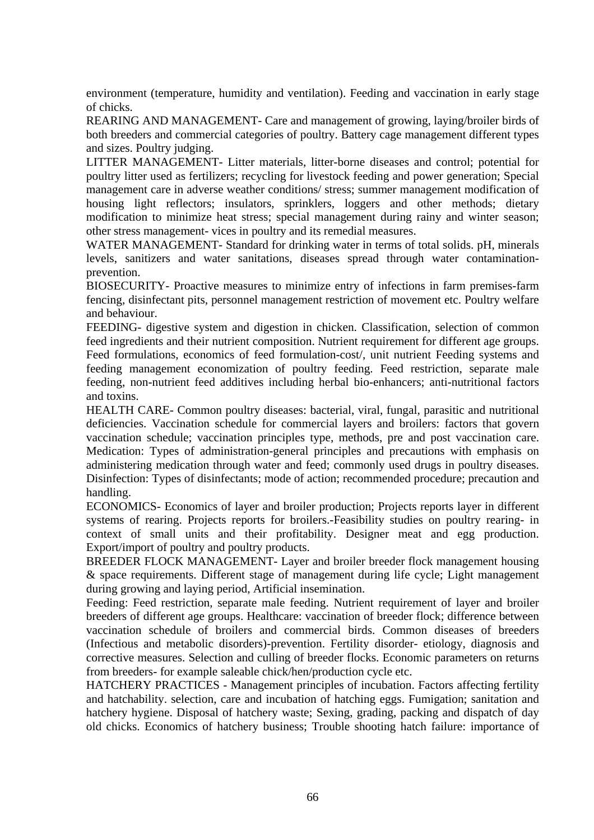environment (temperature, humidity and ventilation). Feeding and vaccination in early stage of chicks.

REARING AND MANAGEMENT- Care and management of growing, laying/broiler birds of both breeders and commercial categories of poultry. Battery cage management different types and sizes. Poultry judging.

LITTER MANAGEMENT- Litter materials, litter-borne diseases and control; potential for poultry litter used as fertilizers; recycling for livestock feeding and power generation; Special management care in adverse weather conditions/ stress; summer management modification of housing light reflectors; insulators, sprinklers, loggers and other methods; dietary modification to minimize heat stress; special management during rainy and winter season; other stress management- vices in poultry and its remedial measures.

WATER MANAGEMENT- Standard for drinking water in terms of total solids. pH, minerals levels, sanitizers and water sanitations, diseases spread through water contaminationprevention.

BIOSECURITY- Proactive measures to minimize entry of infections in farm premises-farm fencing, disinfectant pits, personnel management restriction of movement etc. Poultry welfare and behaviour.

FEEDING- digestive system and digestion in chicken. Classification, selection of common feed ingredients and their nutrient composition. Nutrient requirement for different age groups. Feed formulations, economics of feed formulation-cost/, unit nutrient Feeding systems and feeding management economization of poultry feeding. Feed restriction, separate male feeding, non-nutrient feed additives including herbal bio-enhancers; anti-nutritional factors and toxins.

HEALTH CARE- Common poultry diseases: bacterial, viral, fungal, parasitic and nutritional deficiencies. Vaccination schedule for commercial layers and broilers: factors that govern vaccination schedule; vaccination principles type, methods, pre and post vaccination care. Medication: Types of administration-general principles and precautions with emphasis on administering medication through water and feed; commonly used drugs in poultry diseases. Disinfection: Types of disinfectants; mode of action; recommended procedure; precaution and handling.

ECONOMICS- Economics of layer and broiler production; Projects reports layer in different systems of rearing. Projects reports for broilers.-Feasibility studies on poultry rearing- in context of small units and their profitability. Designer meat and egg production. Export/import of poultry and poultry products.

BREEDER FLOCK MANAGEMENT- Layer and broiler breeder flock management housing & space requirements. Different stage of management during life cycle; Light management during growing and laying period, Artificial insemination.

Feeding: Feed restriction, separate male feeding. Nutrient requirement of layer and broiler breeders of different age groups. Healthcare: vaccination of breeder flock; difference between vaccination schedule of broilers and commercial birds. Common diseases of breeders (Infectious and metabolic disorders)-prevention. Fertility disorder- etiology, diagnosis and corrective measures. Selection and culling of breeder flocks. Economic parameters on returns from breeders- for example saleable chick/hen/production cycle etc.

HATCHERY PRACTICES - Management principles of incubation. Factors affecting fertility and hatchability. selection, care and incubation of hatching eggs. Fumigation; sanitation and hatchery hygiene. Disposal of hatchery waste; Sexing, grading, packing and dispatch of day old chicks. Economics of hatchery business; Trouble shooting hatch failure: importance of